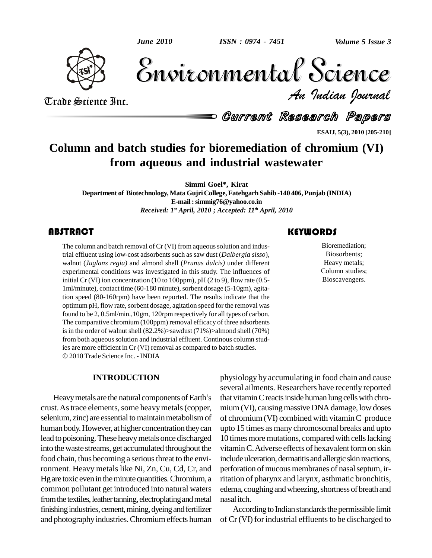*June 2010*



Volume 5 Issue 3 *Indian Journal* Volume 5 Issue 3

Trade Science Inc. Trade Science Inc.

Current Research Papers

**ESAIJ, 5(3), 2010 [205-210]**

## **Column and batch studies for bioremediation of chromium (VI) from aqueous and industrial wastewater**

**Simmi Goel\*, Kirat**

**Department of Biotechnology, Mata GujriCollege, Fatehgarh Sahib -140 406,Punjab (INDIA) E-mail:[simmig76@yahoo.co.in](mailto:simmig76@yahoo.c.oin)** *Received: 1 st April, 2010 ; Accepted: 11 th April, 2010*

## **ABSTRACT**

The column and batch removal of Cr (VI) from aqueous solution and industrial effluent using low-cost adsorbents such as saw dust (*Dalbergia sisso*), walnut (*Juglans regia*) and almond shell (*Prunus dulcis*) under differ The column and batch removal of Cr (VI) from aqueous solution and industrial effluent using low-cost adsorbents such as saw dust (*Dalbergia sisso*), experimental conditions was investigated in this study. The influences of initial Cr (VI) ion concentration (10 to 100ppm), pH (2 to 9), flow rate (0.5- 1ml/minute), contact time (60-180 minute),sorbent dosage (5-10gm), agitation speed (80-160rpm) have been reported. The results indicate that the optimum pH, flow rate, sorbent dosage, agitation speed for the removal was found to be 2, 0.5ml/min.,10gm, 120rpmrespectively for all types of carbon. The comparative chromium (100ppm) removal efficacy of three adsorbents is in the order of walnut shell  $(82.2%)$ >sawdust  $(71%)$ >almond shell  $(70%)$ from both aqueous solution and industrial effluent. Continous column stud-<br>ies are more efficient in Cr (VI) removal as compared to batch studies. 2010 Trade Science Inc. - INDIA

## **INTRODUCTION**

Heavy metals are the natural components of Earth's crust. As trace elements, some heavy metals (copper, selenium, zinc) are essential to maintain metabolism of human body. However, at higher concentration they can lead to poisoning.These heavymetals once discharged into thewaste streams, get accumulated throughout the food chain, thus becoming a serious threat to the environment. Heavy metals like Ni, Zn, Cu, Cd, Cr, and Hg are toxic even in the minute quantities. Chromium, a common pollutant get introduced into natural waters from the textiles, leather tanning, electroplating and metal finishing industries, cement, mining, dyeing and fertilizer and photography industries. Chromium effects human

physiology by accumulating in food chain and cause several ailments. Researchers have recently reported that vitamin C reacts inside human lung cells with chromium (VI), causing massive DNA damage, low doses of chromium (VI) combined with vitaminC produce upto 15 times as many chromosomal breaks and upto 10 times more mutations, compared with cells lacking vitamin C. Adverse effects of hexavalent form on skin include ulceration, dermatitis and allergic skin reactions, perforation of mucous membranes of nasal septum, irritation of pharynx and larynx, asthmatic bronchitis, edema, coughing and wheezing, shortness of breath and nasalitch.

According to Indian standards the permissible limit of  $Cr$  (VI) for industrial effluents to be discharged to

**KEYWORDS** 

Bioremediation;<br>Biosorbents;<br>Heavy metals; Bioremediation; Biosorbents; Heavy metals; Column studies; Bioscavengers.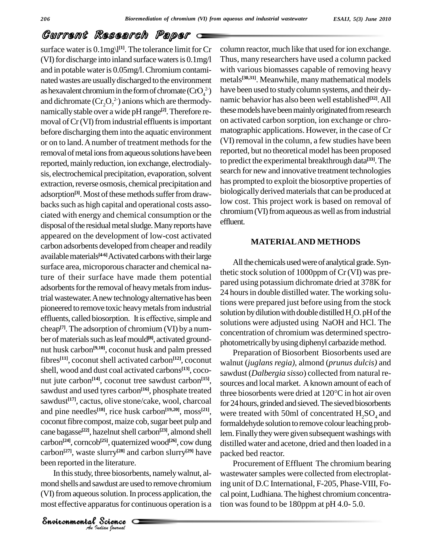## Current Research Paper

been reported in the literature. surface water is  $0.1$ mg\l<sup>[1]</sup>. The tolerance limit for Cr colu (VI) for discharge into inland surface waters is  $0.1$ mg/l and in potable water is 0.05mg/l. Chromium contaminated wastes are usually discharged to the environment as hexavalent chromium in the form of chromate  $(CrO_4^2)$ and dichromate  $(\text{Cr}_2\text{O}_7^2)$  anions which are thermodynamically stable over a wide pH range<sup>[2]</sup>. Therefore re- thes moval of  $Cr$  (VI) from industrial effluents is important before discharging theminto the aquatic environment or on to land. A number of treatment methods for the removal of metal ions from aqueous solutions have been reported, mainly reduction, ion exchange, electrodialysis, electrochemical precipitation, evaporation, solvent extraction, reverse osmosis, chemical precipitation and adsorption<sup>[3]</sup>. Most of these methods suffer from drawbacks such as high capital and operational costs associated with energy and chemical consumption or the disposal of the residual metal sludge. Many reports have appeared on the development of low-cost activated carbon adsorbents developed fromcheaper and readily available materials<sup>[4-6]</sup> Activated carbons with their large surface area, microporous character and chemical nature of their surface have made them potential adsorbents for the removal of heavy metals from industrial wastewater. A new technology alternative has been<br>pioneered to remove toxic heavy metals from industrial<br>effluents, called biosorption. It is effective, simple and pioneered to remove toxic heavy metals from industrial cheap<sup>[7]</sup>. The adsorption of chromium (VI) by a number of materials such as leaf mould<sup>[8]</sup>, activated groundnut husk carbon<sup>[9,10]</sup>, coconut husk and palm pressed  $\overline{P}_{\text{pre}}$ fibres<sup>[11]</sup>, coconut shell activated carbon<sup>[12]</sup>, coconut we shell, wood and dust coal activated carbons<sup>[13]</sup>, coco-saw nut jute carbon<sup>[14]</sup>, coconut tree sawdust carbon<sup>[15]</sup>, sour sawdust and used tyres carbon<sup>[16]</sup>, phosphate treated three b sawdust<sup>[17]</sup>, cactus, olive stone/cake, wool, charcoal <sub>for</sub> and pine needles<sup>[18]</sup>, rice husk carbon<sup>[19,20]</sup>, moss<sup>[21]</sup>, <sub>W</sub> coconut fibre compost, maize cob, sugar beet pulp and cane bagasse **[22]**, hazelnutshell carbon **[23]**, almond shell carbon **[24]**, corncob **[25]**, quaternized wood **[26]**, cow dung carbon<sup>[27]</sup>, waste slurry<sup>[28]</sup> and carbon slurry<sup>[29]</sup> have packe

In this study, three biosorbents, namely walnut, alie literature.<br>
science biosorbent:<br>
solution. In provaratus for continual solution.<br>
Science C mond shells and sawdust are used to remove chromium (VI) from aqueous solution. In process application, the most effective apparatus for continuous operation is a tion w

2-) have been used to studycolumn systems, and their dy column reactor, much like that used for ion exchange. Thus, many researchers have used a column packed with various biomasses capable of removing heavy metals **[30,31]**. Meanwhile, manymathematical models namic behavior has also been well established **[32]**.All these models have been mainly originated from research on activated carbon sorption, ion exchange or chro matographic applications. However, in the case of Cr (VI) removal in the column, a few studies have been reported, but no theoretical model has been proposed to predict the experimental breakthrough data **[33]**.The search for new and innovative treatment technologies has prompted to exploit the biosorptive properties of biologically derived materials that can be produced at low cost. This project work is based on removal of chromium (VI) from aqueous as well as from industrial effluent.

#### **MATERIALAND METHODS**

All the chemicals used were of analytical grade. Synthetic stock solution of 1000ppm of Cr (VI) was pre pared using potassium dichromate dried at 378K for 24 hours in double distilled water. The working solutions were prepared just before using from the stock solution by dilution with double distilled  $H<sub>2</sub>O$ . pH of the solutions were adjusted using NaOH and HCl. The concentration of chromium was determined spectro photometrically by using diphenyl carbazide method.

Preparation of Biosorbent Biosorbents used are walnut (*juglans regia)*, almond (*prunus dulcis)* and sawdust (*Dalbergia sisso*) collected from natural re sources and local market. A known amount of each of three biosorbents were dried at  $120^{\circ}$ C in hot air oven for 24 hours, grinded and sieved. The sieved biosorbents were treated with 50ml of concentrated  $H_2SO_4$  and formaldehyde solution to remove colour leaching problem. Finally they were given subsequent washings with distilled water and acetone, dried and then loaded in a packed bed reactor.

Procurement of Effluent The chromium bearing wastewater samples were collected from electroplating unit of D.C International, F-205, Phase-VIII, Fo cal point, Ludhiana. The highest chromium concentration was found to be 180 ppm at  $pH$  4.0- 5.0.

*Indian Journal*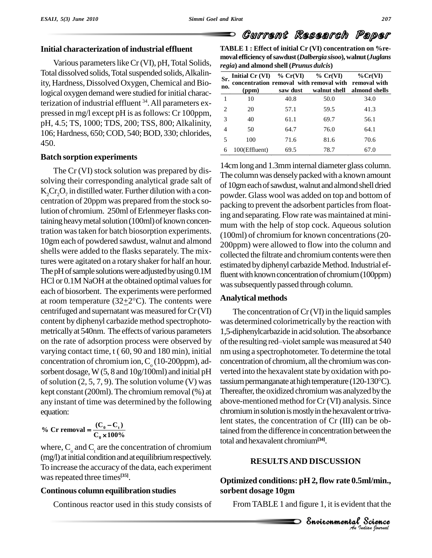## **Initial characterization of industrial effluent**

Various parameters like Cr (VI), pH, Total Solids, Total dissolved solids, Total suspended solids, Alkalinity, Hardness, Dissolved Oxygen, Chemical and Biological oxygen demand were studied for initial characterization of industrial effluent  $34$ . All parameters expressed in mg/l except pH is asfollows: Cr 100ppm, pH, 4.5; TS, 1000; TDS, 200; TSS, 800; Alkalinity, 106; Hardness, 650; COD, 540; BOD, 330; chlorides, 450.

## **Batch sorption experiments**

The Cr (VI) stock solution was prepared by dis solving their corresponding analytical grade salt of  $K_2$ Cr<sub>2</sub>O<sub>7</sub> in distilled water. Further dilution with a concentration of 20ppm was prepared from the stock solution of chromium. 250ml of Erlenmeyer flasks containing heavy metal solution (100ml) of known concentration wastaken for batch biosorption experiments. 10gm each of powdered sawdust, walnut and almond shells were added to the flasks separately. The mixtures were agitated on a rotary shaker for half an hour. The pH of sample solutions were adjusted by using 0.1M HCl or 0.1M NaOH at the obtained optimal values for was subseted of biosorbent. The experiments were performed at room temperature  $(32\pm 2^{\circ}C)$ . The contents were each of biosorbent. The experiments were performed centrifuged and supernatant was measured for  $Cr$  (VI) content by diphenyl carbazide method spectrophoto metricallyat 540nm. The effects of various parameters on the rate of adsorption process were observed by of the resulting red-violet sample was measured at 540 varying contact time, t ( 60, 90 and 180 min), initial concentration of chromium ion,  $C_0$  (10-200ppm), adsorbent dosage, W (5, 8 and 10g/100ml) and initial pH of solution  $(2, 5, 7, 9)$ . The solution volume (V) was kept constant (200ml). The chromium removal (%) at any instant of time was determined by the following aboveequation:

$$
\% \text{ Cr removal} = \frac{(C_0 - C_t)}{C_0 \times 100\%}
$$

where,  $C_{\alpha}$  and  $C_{\alpha}$  are the concentration of chromium (mg/l) at initial condition and at equilibrium respectively. To increase the accuracy of the data, each experiment was repeated three times<sup>[35]</sup>.

## **Continous column equilibration studies**

Continous reactor used in this study consists of

**TABLE 1 : Effect of initial Cr (VI) concentration on %re moval efficiency ofsawdust(***Dalbergia sisoo***), walnut(***Juglans regia***) and almond shell(***Prunus dulcis***)**

Current Research Paper

| Sr.<br>no. | Initial $Cr (VI)$ % $Cr(VI)$ % $Cr(VI)$<br>concentration removal with removal with removal with<br>(ppm | saw dust | walnut shell | $\%$ Cr(VI)<br>almond shells |
|------------|---------------------------------------------------------------------------------------------------------|----------|--------------|------------------------------|
|            | 10                                                                                                      | 40.8     | 50.0         | 34.0                         |
|            | 20                                                                                                      | 57.1     | 59.5         | 41.3                         |
|            | 40                                                                                                      | 61.1     | 69.7         | 56.1                         |
|            | 50                                                                                                      | 64.7     | 76.0         | 64.1                         |
|            | 100                                                                                                     | 71.6     | 81.6         | 70.6                         |
|            | 100(Effluent)                                                                                           | 69.5     | 78.7         | 67.0                         |

14cmlongand 1.3mminternal diameter glass column. The column was densely packed with a known amount of 10gm each of sawdust, walnut and almond shell dried powder. Glass wool was added on top and bottom of packing to prevent the adsorbent particles from floating and separating. Flow rate was maintained at minimum with the help of stop cock. Aqueous solution (100ml) of chromium for known concentrations(20- 200ppm) were allowed to flow into the column and collected the filtrate and chromium contents were then estimated by diphenyl carbazide Method. Industrial effluent with known concentration of chromium (100ppm) was subsequently passed through column.

## **Analytical methods**

The concentration of  $Cr(VI)$  in the liquid samples was determined colorimetrically by the reaction with<br>1,5-diphenylcarbazide in acid solution. The absorbance<br>of the resulting red—violet sample was measured at 540 1,5-diphenylcarbazide in acidsolution.The absorbance nm using a spectrophotometer.To determine the total concentration of chromium, all the chromium was converted into the hexavalent state by oxidation with potassium permanganate at high temperature (120-130°C). Thereafter, the oxidized chromium was analyzed by the above-mentioned method forCr (VI) analysis. Since chromium in solution is mostly in the hexavalent or trivalent states, the concentration of Cr (III) can be obtained from the difference in concentration between the total and hexavalent chromium**[34]**.

## Environmental**RESULTSAND DISCUSSION**

# *Ind/min.,***<br>***Institution*<br>*Protion borral* ml/min.,<br>t that the<br>Sci*e*nce **Optimized conditions: pH 2, flow rate 0.5ml/min., sorbent dosage 10gm**

FromTABLE 1 and figure 1, it is evident that the

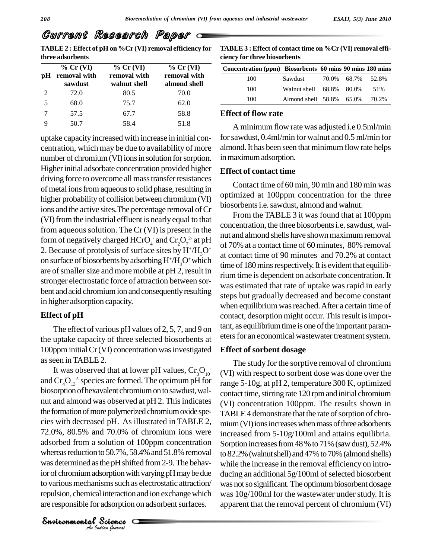## Current Research Paper

**TABLE2 : Effect of pH on %Cr (VI) removal efficiency for three adsorbents**

| рH | $%$ Cr (VI)<br>removal with<br>sawdust | $%$ Cr (VI)<br>removal with<br>walnut shell | $%$ Cr (VI)<br>removal with<br>almond shell | Con  |
|----|----------------------------------------|---------------------------------------------|---------------------------------------------|------|
| 2  | 72.0                                   | 80.5                                        | 70.0                                        |      |
|    | 68.0                                   | 75.7                                        | 62.0                                        |      |
|    | 57.5                                   | 67.7                                        | 58.8                                        | F.ff |
|    | 50.7                                   | 58.4                                        | 51.8                                        |      |

uptake capacityincreased with increase in initial con centration, which may be due to availability of more number of chromium (VI) ions in solution for sorption. Higher initial adsorbate concentration provided higher driving force to overcome all mass transfer resistances of metal ions from aqueous to solid phase, resulting in higher probability of collision between chromium (VI) ions and the active sites. The percentage removal of Cr (VI) from the industrial effluent is nearly equal to that from aqueous solution. The  $Cr$  (VI) is present in the form of negatively charged  $HCrO_4^-$  and  $Cr_2O_7^2$  at pH of 70% at a 2. Because of protolysis of surface sites by  $H^+/H_3O^+$  on surface of biosorbents by adsorbing  $H^+/H_3O^+$  which on surface of biosorbents by adsorbing  $H^+/H_*O^+$  which are of smaller size and more mobile at pH 2, result in stronger electrostatic force of attraction between sor bent and acid chromium ion and consequently resulting in higher adsorption capacity.

## **Effect of pH**

The effect of various pH values of 2, 5, 7, and 9 on the uptake capacity of three selected biosorbents at 100ppminitialCr(VI) concentration wasinvestigated asseen inTABLE 2.

*A* as the pH shifted in adsorption with variants such as elemical interaction and a for adsorption on a star Science was determined as the pH shifted from 2-9. The behav-It was observed that at lower pH values,  $Cr_3O_{10}$  (V) and  $\text{Cr}_4\text{O}_{13}^2$  species are formed. The optimum pH for range 5 biosorption of hexavalent chromium on to sawdust, walnut and almond was observed at pH 2. This indicates the formation of more polymerized chromium oxide species with decreased pH. As illustrated in TABLE 2, 72.0%, 80.5% and 70.0% of chromium ions were adsorbed from a solution of 100ppm concentration whereas reduction to 50.7%, 58.4% and 51.8% removal ior of chromium adsorption with varying pH may be due ducing to various mechanisms such as electrostatic attraction/ repulsion, chemical interaction and ion exchange which are responsible for adsorption on adsorbent surfaces.

*Indian Journal*

**TABLE3 : Effect of contact time on %Cr (VI) removal effi ciency for three biosorbents**

| Concentration (ppm) Biosorbents 60 mins 90 mins 180 mins |                                |                   |  |
|----------------------------------------------------------|--------------------------------|-------------------|--|
| 100                                                      | Sawdust                        | 70.0% 68.7% 52.8% |  |
| 100                                                      | Walnut shell 68.8% 80.0% 51%   |                   |  |
| 100                                                      | Almond shell 58.8% 65.0% 70.2% |                   |  |

#### **Effect of flow rate**

A minimum flow rate was adjusted i.e 0.5ml/min forsawdust, 0.4ml/min for walnut and 0.5 ml/min for almond. It has been seen that minimum flow rate helps in maximum adsorption.

## **Effect of contact time**

Contact time of 60 min, 90 min and 180 min was optimized at 100ppm concentration for the three biosorbents i.e. sawdust, almond and walnut.

From the TABLE 3 it was found that at 100ppm concentration, the three biosorbents i.e. sawdust, walnut and almond shells have shown maximum removal of 70% at a contact time of 60 minutes, 80% removal at contact time of 90 minutes and 70.2% at contact time of 180 mins respectively. It is evident that equilibrium time is dependent on adsorbate concentration.It was estimated that rate of uptake was rapid in early steps but gradually decreased and become constant when equilibrium was reached. After a certain time of contact, desorption might occur. This result is important, as equilibrium time is one of the important parameters for an economical wastewater treatment system.

#### **Effect of sorbent dosage**

- (VI) with respect to sorbent dose was done over the The study for the sorptive removal of chromium range 5-10g, at pH 2, temperature 300 K, optimized contact time, stirring rate 120 rpm and initial chromium (VI) concentration 100ppm. The results shown in TABLE4 demonstrate that the rate of sorption of chromium (VI) ions increases when mass of three adsorbents increased from 5-10g/100ml and attains equilibria. Sorption increases from 48 % to 71% (saw dust), 52.4% to 82.2% (walnut shell) and 47% to 70% (almond shells) while the increase in the removal efficiency on intro ducing an additional  $5g/100m$  of selected biosorbent was not so significant. The optimum biosorbent dosage was 10g/100ml for the wastewater under study. It is apparent that the removal percent of chromium (VI)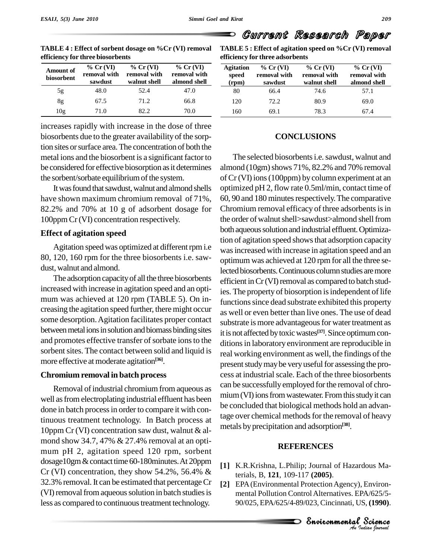| <b>Amount of</b><br>biosorbent | $%$ Cr (VI)<br>removal with<br>sawdust | $%$ Cr(VI)<br>removal with<br>walnut shell | $%$ Cr (VI)<br>removal with<br>almond shell | Agi<br>sp<br>(r |
|--------------------------------|----------------------------------------|--------------------------------------------|---------------------------------------------|-----------------|
| 5g                             | 48.0                                   | 52.4                                       | 47.0                                        |                 |
| 8g                             | 67.5                                   | 71.2                                       | 66.8                                        |                 |
| 10 <sub>g</sub>                | 71.0                                   | 82.2                                       | 70.0                                        |                 |

**TABLE 4 : Effect of sorbent dosage on %Cr (VI) removal efficiency for three biosorbents**

increases rapidly with increase in the dose of three biosorbents due to the greater availability of the sorption sites or surface area. The concentration of both the metal ions and the biosorbent is a significant factor to be considered for effective biosorption as it determines the sorbent/sorbate equilibrium of the system.

It was found that sawdust, walnut and almond shells have shown maximum chromium removal of 71%, 82.2% and 70% at 10 g of adsorbent dosage for 100ppm Cr(VI) concentration respectively.

## **Effect of agitation speed**

Agitation speedwas optimized at differentrpmi.e 80, 120, 160 rpm for the three biosorbents i.e. saw dust, walnut and almond.

The adsorption capacityof all the three biosorbents increased with increase in agitation speed and an opti mum was achieved at 120 rpm (TABLE 5). On in creasing the agitation speed further, there might occur some desorption.Agitation facilitates proper contact between metal ions in solution and biomass binding sites and promotes effective transfer of sorbate ions to the sorbent sites. The contact between solid and liquid is more effective atmoderate agitation **[36]**.

## **Chromium removal in batch process**

Removal of industrial chromium from aqueous as well as from electroplating industrial effluent has been done in batch processin order to compare it with continuous treatment technology. In Batch process at 10ppm Cr (VI) concentration saw dust, walnut  $&$  almond show 34.7, 47% & 27.4% removal at an opti mum pH 2, agitation speed 120 rpm, sorbent dosage10gm&contacttime 60-180minutes.At 20ppm Cr (VI) concentration, they show  $54.2\%$ ,  $56.4\%$  & 32.3% removal. It can be estimated that percentage Cr (VI) removal from aqueous solution in batch studies is less as compared to continuous treatment technology.

**TABLE 5 : Effect of agitation speed on %Cr (VI) removal efficiency for three adsorbents**

Current Research Paper

| <b>Agitation</b><br>speed<br>(rpm) | $%$ Cr(VI)<br>removal with<br>sawdust | $%$ Cr(VI)<br>removal with<br>walnut shell | $%$ Cr(VI)<br>removal with<br>almond shell |
|------------------------------------|---------------------------------------|--------------------------------------------|--------------------------------------------|
| 80                                 | 66.4                                  | 74.6                                       | 57.1                                       |
| 120                                | 72.2                                  | 80.9                                       | 69.0                                       |
| 160                                | 69.1                                  | 78.3                                       | 67.4                                       |

## **CONCLUSIONS**

The selected biosorbents *i.e.* sawdust, walnut and almond (10gm) shows 71%, 82.2% and 70% removal of Cr(VI) ions (100ppm) by column experiment at an optimized pH 2, flow rate 0.5ml/min, contact time of 60, 90 and 180 minutes respectively. The comparative Chromium removal efficacy of three adsorbents is in the order of walnut shell>sawdust>almond shell from both aqueous solution and industrial effluent. Optimization of agitation speed shows that adsorption capacity wasincreased with increase in agitation speed and an optimum was achieved at 120 rpm for all the three selected biosorbents. Continuous column studies are more efficient in Cr (VI) removal as compared to batch studies. The property of biosorption is independent of life functions since dead substrate exhibited this property as well or even better than live ones. The use of dead substrate is more advantageous for water treatment as it is not affected by toxic wastes<sup>[37]</sup>. Since optimum conditions in laboratory environment are reproducible in real working environment as well, the findings of the present study may be very useful for assessing the process at industrial scale. Each of the three biosorbents can be successfully employed forthe removal of chro mium (VI) ions from wastewater. From this study it can be concluded that biological methods hold an advantage over chemical methods for the removal of heavy metals byprecipitation and adsorption **[38]**.

## **REFERENCES**

- [1] K.R.Krishna, L.Philip; Journal of Hazardous Materials, B, **121**, 109-117 **(2005)**.
- *Indian*<br>*IPA/625/5*<br>*IS*, (1990).<br><sup>2</sup> Science<br><sup>2</sup> Science dous Ma-<br>Environ-<br>A/625/5-<br>S, (**1990**).<br>**Science** [2] EPA (Environmental Protection Agency), Environmental Pollution Control Alternatives. EPA/625/5- 90/025, EPA/625/4-89/023,Cincinnati, US, **(1990)**.